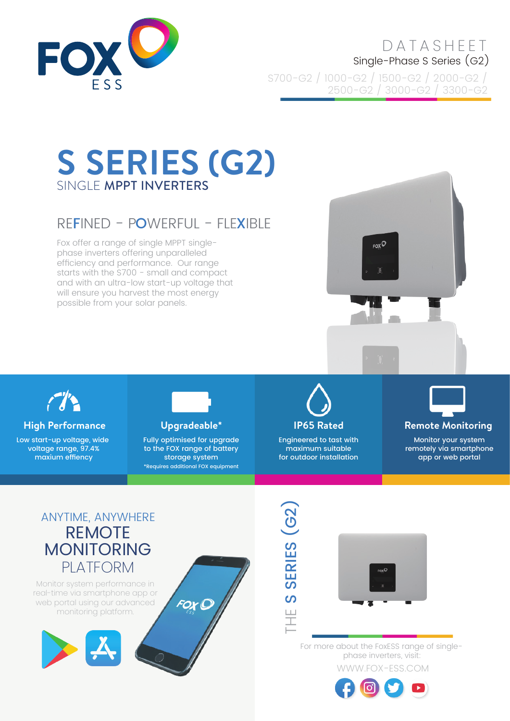

**DATASHEET** Single-Phase S Series (G2) S700-G2 / 1000-G2 / 1500-G2 / 2000-G2 / 2500-G2 / 3000-G2 / 3300-G2

# **S SERIES (G2)** SINGLE MPPT INVERTERS

## $RFFINFD - POWFRFUI - FIFXIBIF$

Fox offer a range of single MPPT singlephase inverters offering unparalleled efficiency and performance. Our range starts with the S700 - small and compact and with an ultra-low start-up voltage that will ensure you harvest the most energy possible from your solar panels.





**High Performance Upgradeable\* IP65 Rated Remote Monitoring**

Low start-up voltage, wide voltage range, 97.4% maxium effiency



Fully optimised for upgrade to the FOX range of battery storage system \*Requires additional FOX equipment

FOX C



Engineered to tast with maximum suitable for outdoor installation



Monitor your system remotely via smartphone app or web portal

### ANYTIME, ANYWHERE REMOTE MONITORING PLATFORM

Monitor system performance in real-time via smartphone app or web portal using our advanced monitoring platform.







WWW.FOX-ESS.COM For more about the FoxESS range of singlephase inverters, visit: